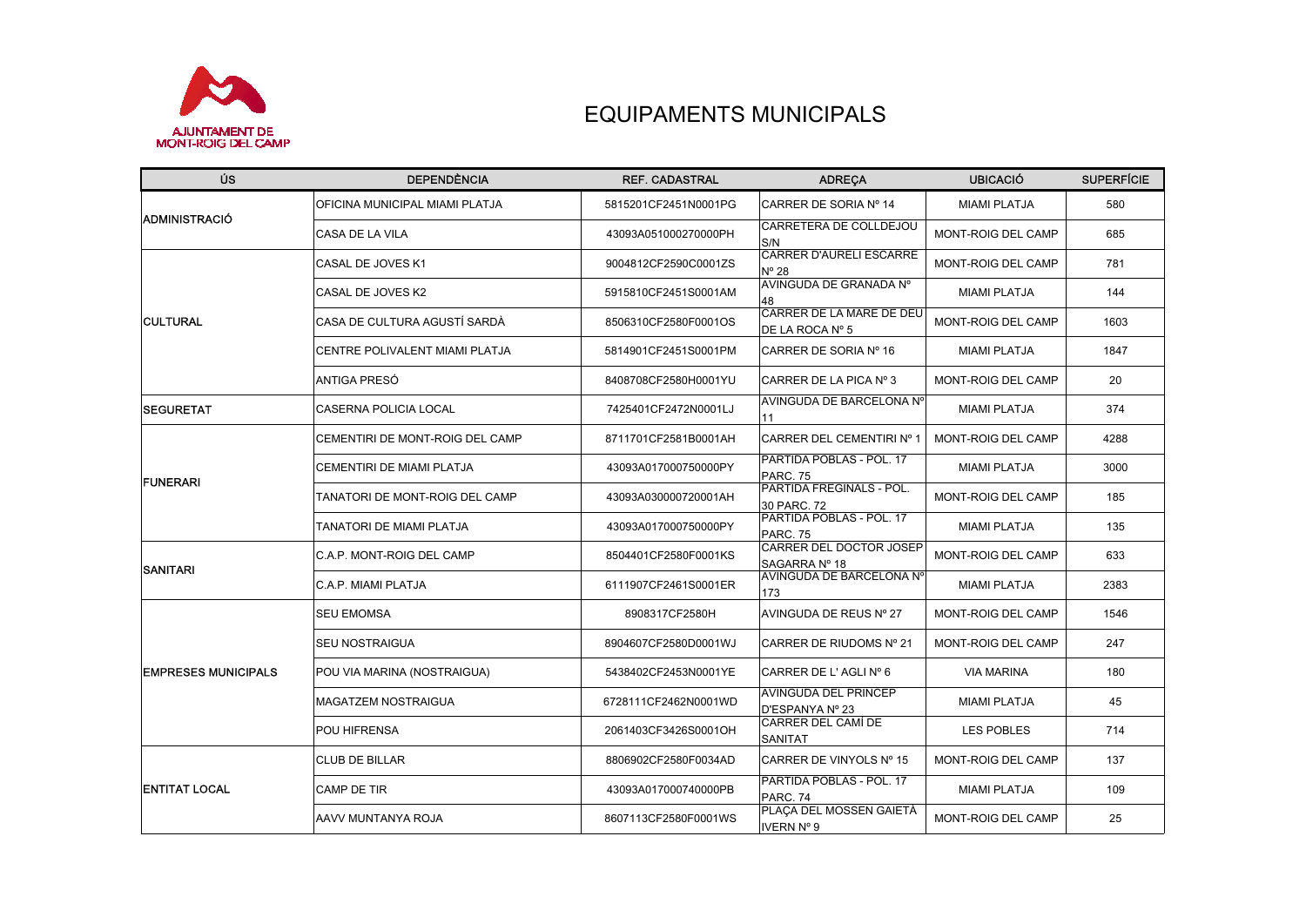

## EQUIPAMENTS MUNICIPALS

| ÚS                         | <b>DEPENDÈNCIA</b>                    | <b>REF. CADASTRAL</b> | <b>ADRECA</b>                                    | <b>UBICACIÓ</b>           | <b>SUPERFÍCIE</b> |
|----------------------------|---------------------------------------|-----------------------|--------------------------------------------------|---------------------------|-------------------|
| <b>ADMINISTRACIÓ</b>       | <b>OFICINA MUNICIPAL MIAMI PLATJA</b> | 5815201CF2451N0001PG  | CARRER DE SORIA Nº 14                            | <b>MIAMI PLATJA</b>       | 580               |
|                            | CASA DE LA VILA                       | 43093A051000270000PH  | CARRETERA DE COLLDEJOU<br>S/N                    | <b>MONT-ROIG DEL CAMP</b> | 685               |
| <b>CULTURAL</b>            | <b>CASAL DE JOVES K1</b>              | 9004812CF2590C0001ZS  | <b>CARRER D'AURELI ESCARRE</b><br>$N^{\circ}$ 28 | MONT-ROIG DEL CAMP        | 781               |
|                            | <b>CASAL DE JOVES K2</b>              | 5915810CF2451S0001AM  | AVINGUDA DE GRANADA Nº<br>48                     | <b>MIAMI PLATJA</b>       | 144               |
|                            | CASA DE CULTURA AGUSTÍ SARDÀ          | 8506310CF2580F0001OS  | CARRER DE LA MARE DE DEU<br>DE LA ROCA Nº 5      | MONT-ROIG DEL CAMP        | 1603              |
|                            | <b>CENTRE POLIVALENT MIAMI PLATJA</b> | 5814901CF2451S0001PM  | CARRER DE SORIA Nº 16                            | <b>MIAMI PLATJA</b>       | 1847              |
|                            | ANTIGA PRESÓ                          | 8408708CF2580H0001YU  | CARRER DE LA PICA Nº 3                           | MONT-ROIG DEL CAMP        | 20                |
| <b>SEGURETAT</b>           | <b>CASERNA POLICIA LOCAL</b>          | 7425401CF2472N0001LJ  | AVINGUDA DE BARCELONA Nº<br> 11                  | <b>MIAMI PLATJA</b>       | 374               |
| <b>FUNERARI</b>            | CEMENTIRI DE MONT-ROIG DEL CAMP       | 8711701CF2581B0001AH  | CARRER DEL CEMENTIRI Nº 1                        | <b>MONT-ROIG DEL CAMP</b> | 4288              |
|                            | <b>CEMENTIRI DE MIAMI PLATJA</b>      | 43093A017000750000PY  | PARTIDA POBLAS - POL. 17<br>PARC. 75             | <b>MIAMI PLATJA</b>       | 3000              |
|                            | TANATORI DE MONT-ROIG DEL CAMP        | 43093A030000720001AH  | PARTIDA FREGINALS - POL.<br>30 PARC. 72          | <b>MONT-ROIG DEL CAMP</b> | 185               |
|                            | <b>TANATORI DE MIAMI PLATJA</b>       | 43093A017000750000PY  | PARTIDA POBLAS - POL. 17<br>PARC. 75             | <b>MIAMI PLATJA</b>       | 135               |
| SANITARI                   | C.A.P. MONT-ROIG DEL CAMP             | 8504401CF2580F0001KS  | <b>CARRER DEL DOCTOR JOSEP</b><br>SAGARRA Nº 18  | <b>MONT-ROIG DEL CAMP</b> | 633               |
|                            | C.A.P. MIAMI PLATJA                   | 6111907CF2461S0001ER  | AVINGUDA DE BARCELONA Nº<br>173                  | <b>MIAMI PLATJA</b>       | 2383              |
| <b>EMPRESES MUNICIPALS</b> | <b>SEU EMOMSA</b>                     | 8908317CF2580H        | AVINGUDA DE REUS Nº 27                           | MONT-ROIG DEL CAMP        | 1546              |
|                            | <b>SEU NOSTRAIGUA</b>                 | 8904607CF2580D0001WJ  | CARRER DE RIUDOMS Nº 21                          | <b>MONT-ROIG DEL CAMP</b> | 247               |
|                            | POU VIA MARINA (NOSTRAIGUA)           | 5438402CF2453N0001YE  | CARRER DE L'AGLI Nº 6                            | <b>VIA MARINA</b>         | 180               |
|                            | <b>MAGATZEM NOSTRAIGUA</b>            | 6728111CF2462N0001WD  | <b>AVINGUDA DEL PRINCEP</b><br>D'ESPANYA Nº 23   | <b>MIAMI PLATJA</b>       | 45                |
|                            | POU HIFRENSA                          | 2061403CF3426S0001OH  | CARRER DEL CAMÍ DE<br>SANITAT                    | LES POBLES                | 714               |
| <b>ENTITAT LOCAL</b>       | <b>CLUB DE BILLAR</b>                 | 8806902CF2580F0034AD  | CARRER DE VINYOLS Nº 15                          | MONT-ROIG DEL CAMP        | 137               |
|                            | <b>CAMP DE TIR</b>                    | 43093A017000740000PB  | PARTIDA POBLAS - POL. 17<br>PARC. 74             | <b>MIAMI PLATJA</b>       | 109               |
|                            | AAVV MUNTANYA ROJA                    | 8607113CF2580F0001WS  | <b>PLAÇA DEL MOSSEN GAIETÀ</b><br>IVERN Nº 9     | MONT-ROIG DEL CAMP        | 25                |